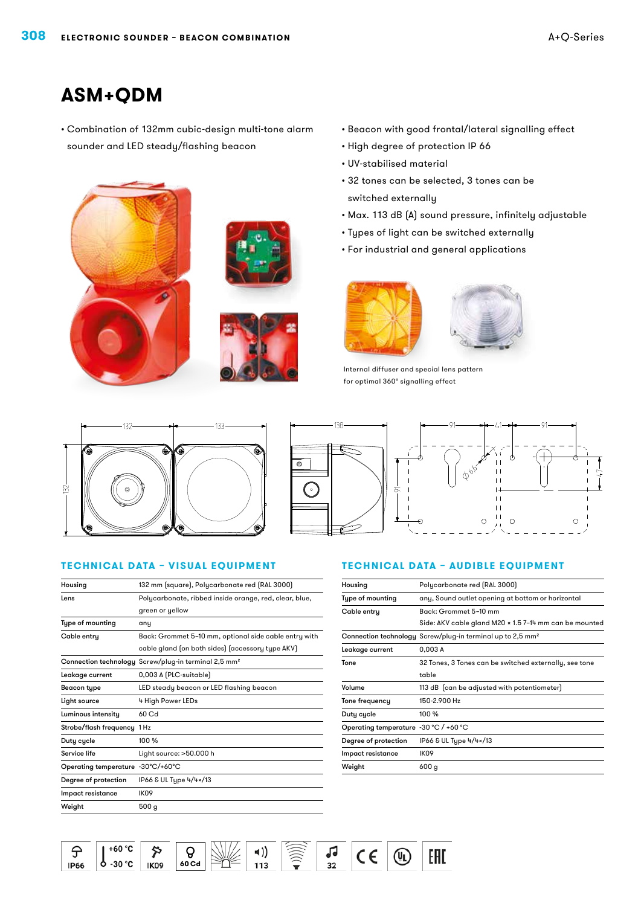# **ASM+QDM**

• Combination of 132mm cubic-design multi-tone alarm sounder and LED steady/flashing beacon







- • Beacon with good frontal/lateral signalling effect
- • High degree of protection IP 66
- • UV-stabilised material
- • 32 tones can be selected, 3 tones can be switched externally
- • Max. 113 dB (A) sound pressure, infinitely adjustable
- • Types of light can be switched externally
- • For industrial and general applications





Internal diffuser and special lens pattern for optimal 360° signalling effect



### **Technical data – visual equipment**

| Housing                           | 132 mm (square), Polycarbonate red (RAL 3000)                    |  |  |
|-----------------------------------|------------------------------------------------------------------|--|--|
| Lens                              | Polycarbonate, ribbed inside orange, red, clear, blue,           |  |  |
|                                   | green or yellow                                                  |  |  |
| Type of mounting                  | any                                                              |  |  |
| Cable entry                       | Back: Grommet 5-10 mm, optional side cable entry with            |  |  |
|                                   | cable gland (on both sides) (accessory type AKV)                 |  |  |
|                                   | Connection technology Screw/plug-in terminal 2,5 mm <sup>2</sup> |  |  |
| Leakage current                   | 0,003 A (PLC-suitable)                                           |  |  |
| <b>Beacon type</b>                | LED steady beacon or LED flashing beacon                         |  |  |
| Light source                      | 4 High Power LEDs                                                |  |  |
| Luminous intensity                | 60 Cd                                                            |  |  |
| Strobe/flash frequency 1 Hz       |                                                                  |  |  |
| Duty cycle                        | 100 %                                                            |  |  |
| Service life                      | Light source: >50.000 h                                          |  |  |
| Operating temperature -30°C/+60°C |                                                                  |  |  |
| Degree of protection              | IP66 & UL Type 4/4×/13                                           |  |  |
| Impact resistance                 | IK <sub>09</sub>                                                 |  |  |
| Weight                            | 500 <sub>g</sub>                                                 |  |  |



#### **Technical data – audible equipment**

| Housing                               | Polycarbonate red (RAL 3000)                                           |  |  |
|---------------------------------------|------------------------------------------------------------------------|--|--|
| Type of mounting                      | any, Sound outlet opening at bottom or horizontal                      |  |  |
| Cable entry                           | Back: Grommet 5-10 mm                                                  |  |  |
|                                       | Side: AKV cable gland M20 × 1.5 7-14 mm can be mounted                 |  |  |
|                                       | Connection technology Screw/plug-in terminal up to 2,5 mm <sup>2</sup> |  |  |
| Leakage current                       | 0,003 A                                                                |  |  |
| Tone                                  | 32 Tones, 3 Tones can be switched externally, see tone                 |  |  |
|                                       | table                                                                  |  |  |
| Volume                                | 113 dB (can be adjusted with potentiometer)                            |  |  |
| Tone frequency                        | 150-2.900 Hz                                                           |  |  |
| Duty cycle                            | 100 %                                                                  |  |  |
| Operating temperature -30 °C / +60 °C |                                                                        |  |  |
| Degree of protection                  | IP66 & UL Type 4/4×/13                                                 |  |  |
| Impact resistance                     | IK <sub>09</sub>                                                       |  |  |
| Weight                                | 600 g                                                                  |  |  |
|                                       |                                                                        |  |  |